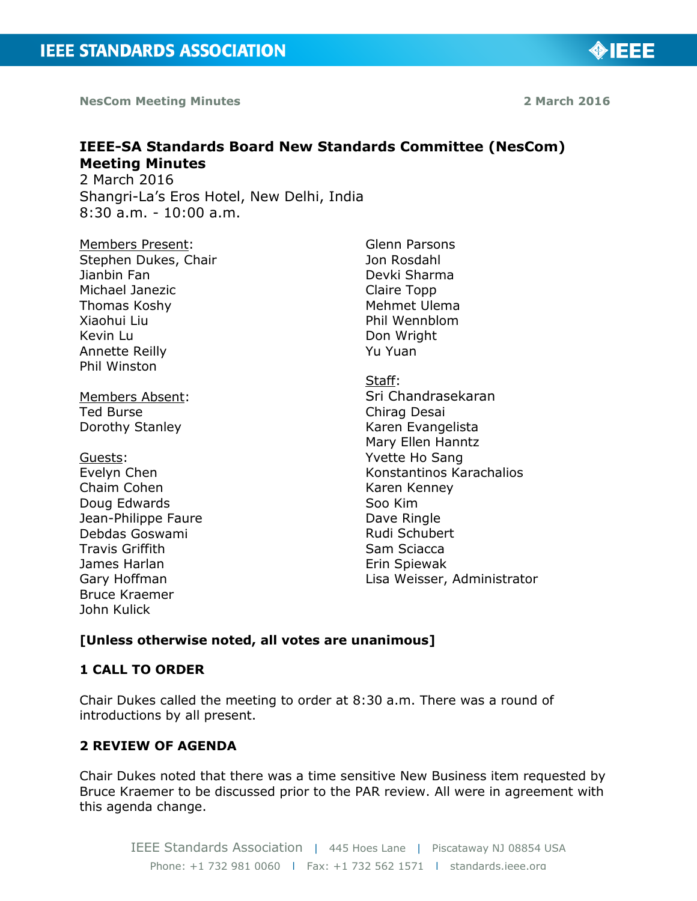**NesCom Meeting Minutes 2 March 2016 2 March 2016** 

◈IEEE

# **IEEE-SA Standards Board New Standards Committee (NesCom) Meeting Minutes**

2 March 2016 Shangri-La's Eros Hotel, New Delhi, India 8:30 a.m. - 10:00 a.m.

Members Present: Stephen Dukes, Chair Jianbin Fan Michael Janezic Thomas Koshy Xiaohui Liu Kevin Lu Annette Reilly Phil Winston

Members Absent: Ted Burse Dorothy Stanley

Guests: Evelyn Chen Chaim Cohen Doug Edwards Jean-Philippe Faure Debdas Goswami Travis Griffith James Harlan Gary Hoffman Bruce Kraemer John Kulick

Glenn Parsons Jon Rosdahl Devki Sharma Claire Topp Mehmet Ulema Phil Wennblom Don Wright Yu Yuan

Staff: Sri Chandrasekaran Chirag Desai Karen Evangelista Mary Ellen Hanntz Yvette Ho Sang Konstantinos Karachalios Karen Kenney Soo Kim Dave Ringle Rudi Schubert Sam Sciacca Erin Spiewak Lisa Weisser, Administrator

## **[Unless otherwise noted, all votes are unanimous]**

#### **1 CALL TO ORDER**

Chair Dukes called the meeting to order at 8:30 a.m. There was a round of introductions by all present.

#### **2 REVIEW OF AGENDA**

Chair Dukes noted that there was a time sensitive New Business item requested by Bruce Kraemer to be discussed prior to the PAR review. All were in agreement with this agenda change.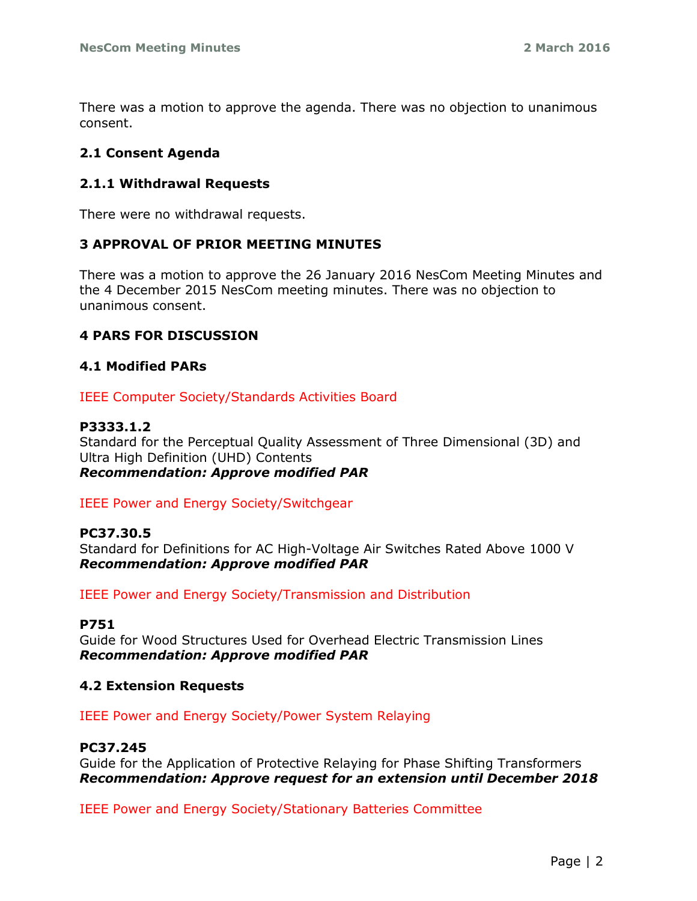There was a motion to approve the agenda. There was no objection to unanimous consent.

## **2.1 Consent Agenda**

## **2.1.1 Withdrawal Requests**

There were no withdrawal requests.

## **3 APPROVAL OF PRIOR MEETING MINUTES**

There was a motion to approve the 26 January 2016 NesCom Meeting Minutes and the 4 December 2015 NesCom meeting minutes. There was no objection to unanimous consent.

## **4 PARS FOR DISCUSSION**

## **4.1 Modified PARs**

IEEE Computer Society/Standards Activities Board

#### **P3333.1.2**

Standard for the Perceptual Quality Assessment of Three Dimensional (3D) and Ultra High Definition (UHD) Contents *Recommendation: Approve modified PAR*

#### IEEE Power and Energy Society/Switchgear

#### **PC37.30.5**

Standard for Definitions for AC High-Voltage Air Switches Rated Above 1000 V *Recommendation: Approve modified PAR*

IEEE Power and Energy Society/Transmission and Distribution

#### **P751**

Guide for Wood Structures Used for Overhead Electric Transmission Lines *Recommendation: Approve modified PAR*

#### **4.2 Extension Requests**

IEEE Power and Energy Society/Power System Relaying

#### **PC37.245**

Guide for the Application of Protective Relaying for Phase Shifting Transformers *Recommendation: Approve request for an extension until December 2018*

IEEE Power and Energy Society/Stationary Batteries Committee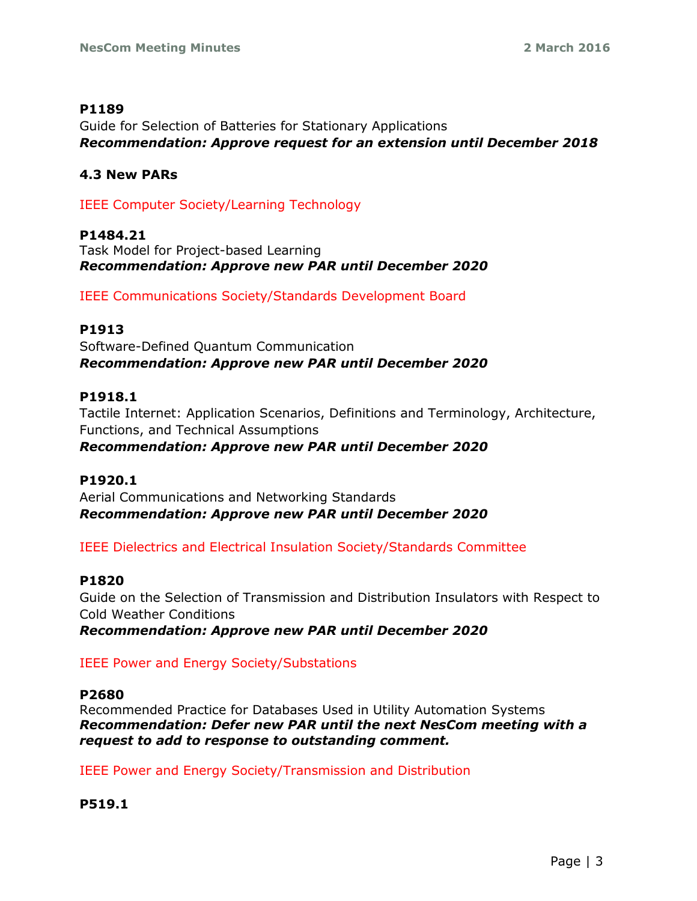#### **P1189**

Guide for Selection of Batteries for Stationary Applications *Recommendation: Approve request for an extension until December 2018*

#### **4.3 New PARs**

IEEE Computer Society/Learning Technology

**P1484.21** Task Model for Project-based Learning *Recommendation: Approve new PAR until December 2020*

IEEE Communications Society/Standards Development Board

#### **P1913**

Software-Defined Quantum Communication *Recommendation: Approve new PAR until December 2020*

## **P1918.1**

Tactile Internet: Application Scenarios, Definitions and Terminology, Architecture, Functions, and Technical Assumptions *Recommendation: Approve new PAR until December 2020*

#### **P1920.1**

Aerial Communications and Networking Standards *Recommendation: Approve new PAR until December 2020*

IEEE Dielectrics and Electrical Insulation Society/Standards Committee

#### **P1820**

Guide on the Selection of Transmission and Distribution Insulators with Respect to Cold Weather Conditions

*Recommendation: Approve new PAR until December 2020*

IEEE Power and Energy Society/Substations

#### **P2680**

Recommended Practice for Databases Used in Utility Automation Systems *Recommendation: Defer new PAR until the next NesCom meeting with a request to add to response to outstanding comment.*

IEEE Power and Energy Society/Transmission and Distribution

#### **P519.1**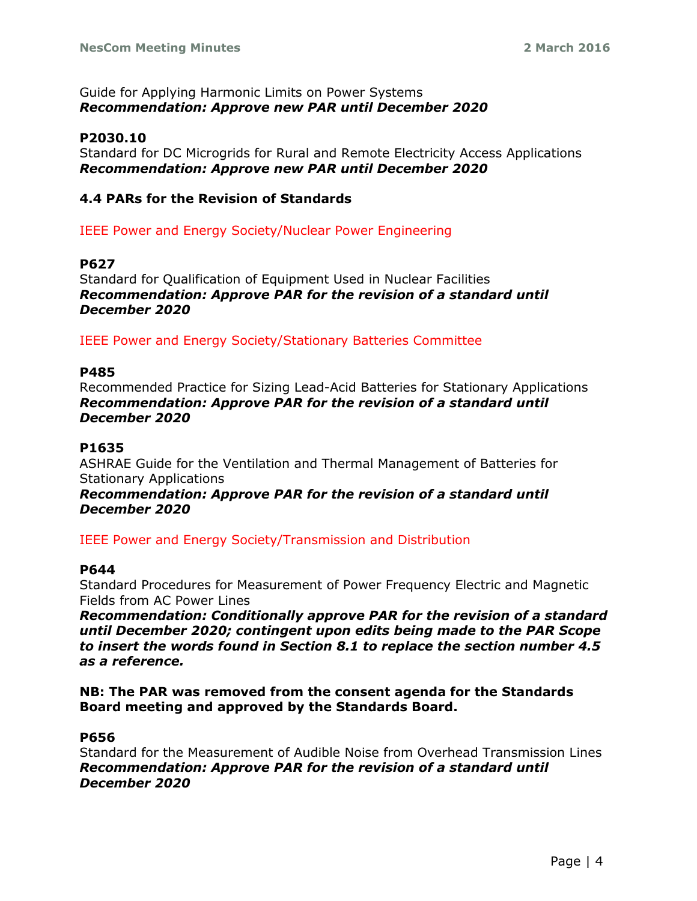#### Guide for Applying Harmonic Limits on Power Systems *Recommendation: Approve new PAR until December 2020*

## **P2030.10**

Standard for DC Microgrids for Rural and Remote Electricity Access Applications *Recommendation: Approve new PAR until December 2020*

## **4.4 PARs for the Revision of Standards**

IEEE Power and Energy Society/Nuclear Power Engineering

#### **P627**

Standard for Qualification of Equipment Used in Nuclear Facilities *Recommendation: Approve PAR for the revision of a standard until December 2020*

IEEE Power and Energy Society/Stationary Batteries Committee

#### **P485**

Recommended Practice for Sizing Lead-Acid Batteries for Stationary Applications *Recommendation: Approve PAR for the revision of a standard until December 2020*

#### **P1635**

ASHRAE Guide for the Ventilation and Thermal Management of Batteries for Stationary Applications

*Recommendation: Approve PAR for the revision of a standard until December 2020*

IEEE Power and Energy Society/Transmission and Distribution

#### **P644**

Standard Procedures for Measurement of Power Frequency Electric and Magnetic Fields from AC Power Lines

*Recommendation: Conditionally approve PAR for the revision of a standard until December 2020; contingent upon edits being made to the PAR Scope to insert the words found in Section 8.1 to replace the section number 4.5 as a reference.*

**NB: The PAR was removed from the consent agenda for the Standards Board meeting and approved by the Standards Board.**

#### **P656**

Standard for the Measurement of Audible Noise from Overhead Transmission Lines *Recommendation: Approve PAR for the revision of a standard until December 2020*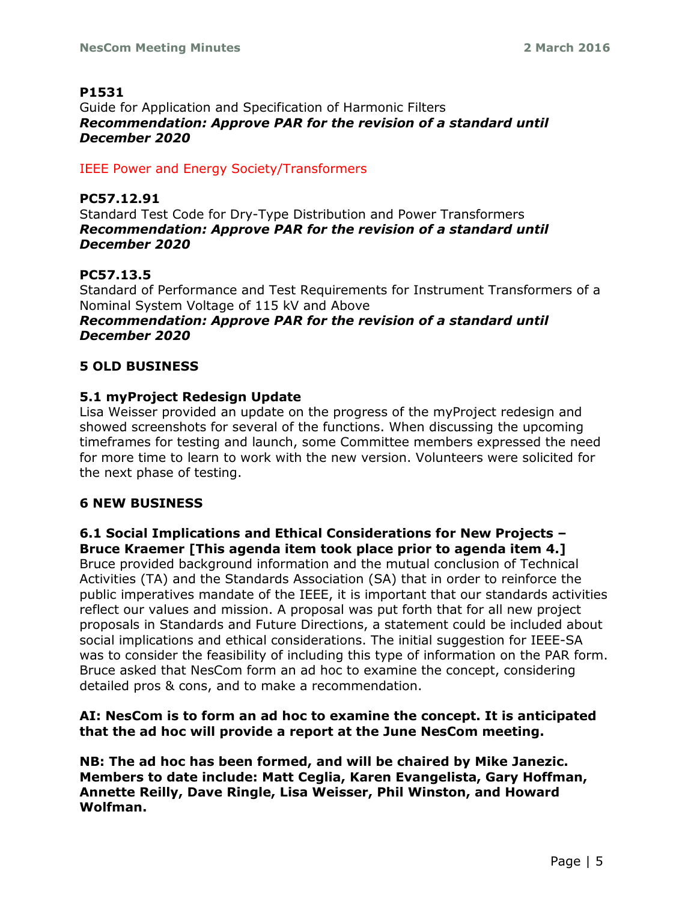## **P1531**

Guide for Application and Specification of Harmonic Filters *Recommendation: Approve PAR for the revision of a standard until December 2020*

## IEEE Power and Energy Society/Transformers

## **PC57.12.91**

Standard Test Code for Dry-Type Distribution and Power Transformers *Recommendation: Approve PAR for the revision of a standard until December 2020*

# **PC57.13.5**

Standard of Performance and Test Requirements for Instrument Transformers of a Nominal System Voltage of 115 kV and Above

#### *Recommendation: Approve PAR for the revision of a standard until December 2020*

## **5 OLD BUSINESS**

## **5.1 myProject Redesign Update**

Lisa Weisser provided an update on the progress of the myProject redesign and showed screenshots for several of the functions. When discussing the upcoming timeframes for testing and launch, some Committee members expressed the need for more time to learn to work with the new version. Volunteers were solicited for the next phase of testing.

#### **6 NEW BUSINESS**

# **6.1 Social Implications and Ethical Considerations for New Projects – Bruce Kraemer [This agenda item took place prior to agenda item 4.]**

Bruce provided background information and the mutual conclusion of Technical Activities (TA) and the Standards Association (SA) that in order to reinforce the public imperatives mandate of the IEEE, it is important that our standards activities reflect our values and mission. A proposal was put forth that for all new project proposals in Standards and Future Directions, a statement could be included about social implications and ethical considerations. The initial suggestion for IEEE-SA was to consider the feasibility of including this type of information on the PAR form. Bruce asked that NesCom form an ad hoc to examine the concept, considering detailed pros & cons, and to make a recommendation.

## **AI: NesCom is to form an ad hoc to examine the concept. It is anticipated that the ad hoc will provide a report at the June NesCom meeting.**

**NB: The ad hoc has been formed, and will be chaired by Mike Janezic. Members to date include: Matt Ceglia, Karen Evangelista, Gary Hoffman, Annette Reilly, Dave Ringle, Lisa Weisser, Phil Winston, and Howard Wolfman.**